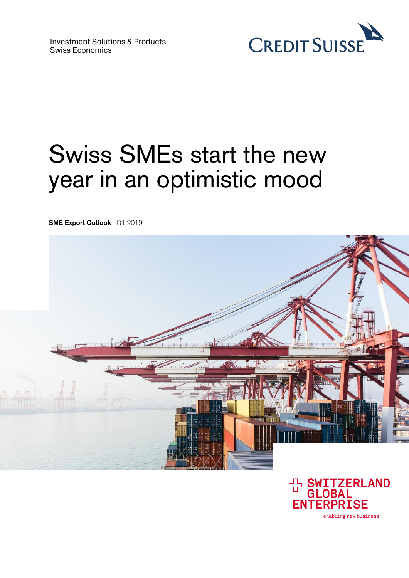

# Swiss SMEs start the new year in an optimistic mood

**SME Export Outlook** | Q1 2019



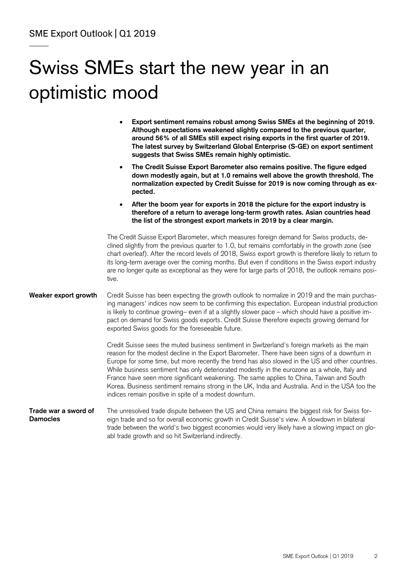## Swiss SMEs start the new year in an optimistic mood

|                                         | Export sentiment remains robust among Swiss SMEs at the beginning of 2019.<br>Although expectations weakened slightly compared to the previous quarter,<br>around 56% of all SMEs still expect rising exports in the first quarter of 2019.<br>The latest survey by Switzerland Global Enterprise (S-GE) on export sentiment<br>suggests that Swiss SMEs remain highly optimistic.                                                                                                                                                                                                                                                                          |
|-----------------------------------------|-------------------------------------------------------------------------------------------------------------------------------------------------------------------------------------------------------------------------------------------------------------------------------------------------------------------------------------------------------------------------------------------------------------------------------------------------------------------------------------------------------------------------------------------------------------------------------------------------------------------------------------------------------------|
|                                         | The Credit Suisse Export Barometer also remains positive. The figure edged<br>$\bullet$<br>down modestly again, but at 1.0 remains well above the growth threshold. The<br>normalization expected by Credit Suisse for 2019 is now coming through as ex-<br>pected.                                                                                                                                                                                                                                                                                                                                                                                         |
|                                         | After the boom year for exports in 2018 the picture for the export industry is<br>therefore of a return to average long-term growth rates. Asian countries head<br>the list of the strongest export markets in 2019 by a clear margin.                                                                                                                                                                                                                                                                                                                                                                                                                      |
|                                         | The Credit Suisse Export Barometer, which measures foreign demand for Swiss products, de-<br>clined slightly from the previous quarter to 1.0, but remains comfortably in the growth zone (see<br>chart overleaf). After the record levels of 2018, Swiss export growth is therefore likely to return to<br>its long-term average over the coming months. But even if conditions in the Swiss export industry<br>are no longer quite as exceptional as they were for large parts of 2018, the outlook remains posi-<br>tive.                                                                                                                                |
| Weaker export growth                    | Credit Suisse has been expecting the growth outlook to normalize in 2019 and the main purchas-<br>ing managers' indices now seem to be confirming this expectation. European industrial production<br>is likely to continue growing- even if at a slightly slower pace - which should have a positive im-<br>pact on demand for Swiss goods exports. Credit Suisse therefore expects growing demand for<br>exported Swiss goods for the foreseeable future.                                                                                                                                                                                                 |
|                                         | Credit Suisse sees the muted business sentiment in Switzerland's foreign markets as the main<br>reason for the modest decline in the Export Barometer. There have been signs of a downturn in<br>Europe for some time, but more recently the trend has also slowed in the US and other countries.<br>While business sentiment has only deteriorated modestly in the eurozone as a whole, Italy and<br>France have seen more significant weakening. The same applies to China, Taiwan and South<br>Korea. Business sentiment remains strong in the UK, India and Australia. And in the USA too the<br>indices remain positive in spite of a modest downturn. |
| Trade war a sword of<br><b>Damocles</b> | The unresolved trade dispute between the US and China remains the biggest risk for Swiss for-<br>eign trade and so for overall economic growth in Credit Suisse's view. A slowdown in bilateral<br>trade between the world's two biggest economies would very likely have a slowing impact on glo-<br>abl trade growth and so hit Switzerland indirectly.                                                                                                                                                                                                                                                                                                   |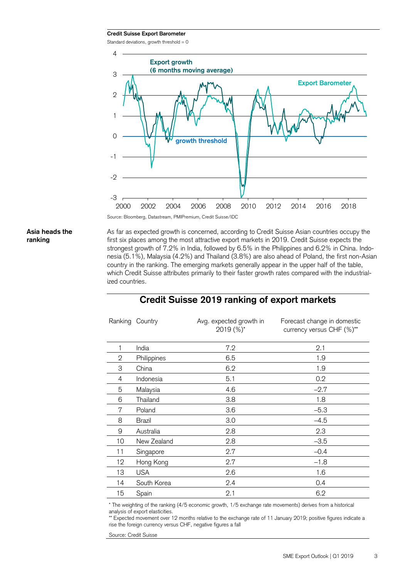#### **Credit Suisse Export Barometer**

Standard deviations, growth threshold = 0





#### **Asia heads the ranking**

As far as expected growth is concerned, according to Credit Suisse Asian countries occupy the first six places among the most attractive export markets in 2019. Credit Suisse expects the strongest growth of 7.2% in India, followed by 6.5% in the Philippines and 6.2% in China. Indonesia (5.1%), Malaysia (4.2%) and Thailand (3.8%) are also ahead of Poland, the first non-Asian country in the ranking. The emerging markets generally appear in the upper half of the table, which Credit Suisse attributes primarily to their faster growth rates compared with the industrialized countries.

| Ranking Country |             | Avg. expected growth in<br>2019 (%)* | Forecast change in domestic<br>currency versus CHF (%)** |
|-----------------|-------------|--------------------------------------|----------------------------------------------------------|
| 1               | India       | 7.2                                  | 2.1                                                      |
| $\mathfrak{D}$  | Philippines | 6.5                                  | 1.9                                                      |
| 3               | China       | 6.2                                  | 1.9                                                      |
| 4               | Indonesia   | 5.1                                  | 0.2                                                      |
| 5               | Malaysia    | 4.6                                  | $-2.7$                                                   |
| 6               | Thailand    | 3.8                                  | 1.8                                                      |
| 7               | Poland      | 3.6                                  | $-5.3$                                                   |
| 8               | Brazil      | 3.0                                  | -4.5                                                     |
| 9               | Australia   | 2.8                                  | 2.3                                                      |
| 10              | New Zealand | 2.8                                  | $-3.5$                                                   |
| 11              | Singapore   | 2.7                                  | $-0.4$                                                   |
| 12              | Hong Kong   | 2.7                                  | $-1.8$                                                   |
| 13              | <b>USA</b>  | 2.6                                  | 1.6                                                      |
| 14              | South Korea | 2.4                                  | 0.4                                                      |
| 15              | Spain       | 2.1                                  | 6.2                                                      |

#### **Credit Suisse 2019 ranking of export markets**

\* The weighting of the ranking (4/5 economic growth, 1/5 exchange rate movements) derives from a historical analysis of export elasticities.

\*\* Expected movement over 12 months relative to the exchange rate of 11 January 2019; positive figures indicate a rise the foreign currency versus CHF, negative figures a fall

Source: Credit Suisse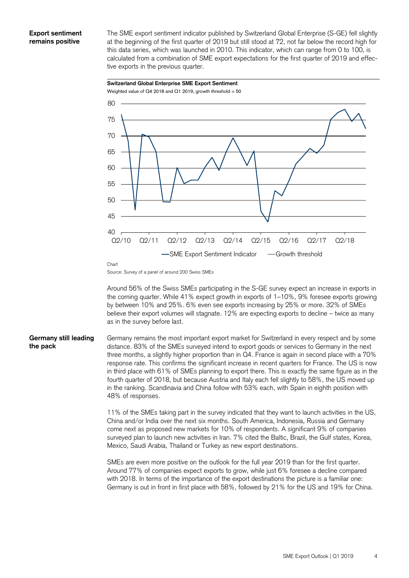The SME export sentiment indicator published by Switzerland Global Enterprise (S-GE) fell slightly at the beginning of the first quarter of 2019 but still stood at 72, not far below the record high for this data series, which was launched in 2010. This indicator, which can range from 0 to 100, is calculated from a combination of SME export expectations for the first quarter of 2019 and effective exports in the previous quarter.

**Switzerland Global Enterprise SME Export Sentiment**



Source: Survey of a panel of around 200 Swiss SMEs

Around 56% of the Swiss SMEs participating in the S-GE survey expect an increase in exports in the coming quarter. While 41% expect growth in exports of 1–10%, 9% foresee exports growing by between 10% and 25%. 6% even see exports increasing by 25% or more. 32% of SMEs believe their export volumes will stagnate. 12% are expecting exports to decline – twice as many as in the survey before last.

#### **Germany still leading the pack**

Germany remains the most important export market for Switzerland in every respect and by some distance. 83% of the SMEs surveyed intend to export goods or services to Germany in the next three months, a slightly higher proportion than in Q4. France is again in second place with a 70% response rate. This confirms the significant increase in recent quarters for France. The US is now in third place with 61% of SMEs planning to export there. This is exactly the same figure as in the fourth quarter of 2018, but because Austria and Italy each fell slightly to 58%, the US moved up in the ranking. Scandinavia and China follow with 53% each, with Spain in eighth position with 48% of responses.

11% of the SMEs taking part in the survey indicated that they want to launch activities in the US, China and/or India over the next six months. South America, Indonesia, Russia and Germany come next as proposed new markets for 10% of respondents. A significant 9% of companies surveyed plan to launch new activities in Iran. 7% cited the Baltic, Brazil, the Gulf states, Korea, Mexico, Saudi Arabia, Thailand or Turkey as new export destinations.

SMEs are even more positive on the outlook for the full year 2019 than for the first quarter. Around 77% of companies expect exports to grow, while just 6% foresee a decline compared with 2018. In terms of the importance of the export destinations the picture is a familiar one: Germany is out in front in first place with 58%, followed by 21% for the US and 19% for China.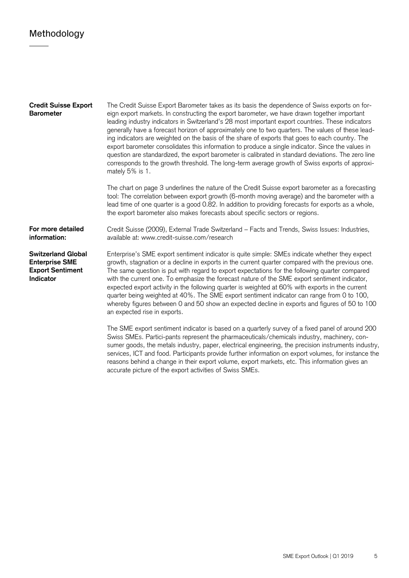## Methodology

| <b>Credit Suisse Export</b><br><b>Barometer</b>                                            | The Credit Suisse Export Barometer takes as its basis the dependence of Swiss exports on for-<br>eign export markets. In constructing the export barometer, we have drawn together important<br>leading industry indicators in Switzerland's 28 most important export countries. These indicators<br>generally have a forecast horizon of approximately one to two quarters. The values of these lead-<br>ing indicators are weighted on the basis of the share of exports that goes to each country. The<br>export barometer consolidates this information to produce a single indicator. Since the values in<br>question are standardized, the export barometer is calibrated in standard deviations. The zero line<br>corresponds to the growth threshold. The long-term average growth of Swiss exports of approxi-<br>mately 5% is 1. |
|--------------------------------------------------------------------------------------------|--------------------------------------------------------------------------------------------------------------------------------------------------------------------------------------------------------------------------------------------------------------------------------------------------------------------------------------------------------------------------------------------------------------------------------------------------------------------------------------------------------------------------------------------------------------------------------------------------------------------------------------------------------------------------------------------------------------------------------------------------------------------------------------------------------------------------------------------|
|                                                                                            | The chart on page 3 underlines the nature of the Credit Suisse export barometer as a forecasting<br>tool: The correlation between export growth (6-month moving average) and the barometer with a<br>lead time of one quarter is a good 0.82. In addition to providing forecasts for exports as a whole,<br>the export barometer also makes forecasts about specific sectors or regions.                                                                                                                                                                                                                                                                                                                                                                                                                                                   |
| For more detailed<br>information:                                                          | Credit Suisse (2009), External Trade Switzerland - Facts and Trends, Swiss Issues: Industries,<br>available at: www.credit-suisse.com/research                                                                                                                                                                                                                                                                                                                                                                                                                                                                                                                                                                                                                                                                                             |
| <b>Switzerland Global</b><br><b>Enterprise SME</b><br><b>Export Sentiment</b><br>Indicator | Enterprise's SME export sentiment indicator is quite simple: SMEs indicate whether they expect<br>growth, stagnation or a decline in exports in the current quarter compared with the previous one.<br>The same question is put with regard to export expectations for the following quarter compared<br>with the current one. To emphasize the forecast nature of the SME export sentiment indicator,<br>expected export activity in the following quarter is weighted at 60% with exports in the current<br>quarter being weighted at 40%. The SME export sentiment indicator can range from 0 to 100,<br>whereby figures between 0 and 50 show an expected decline in exports and figures of 50 to 100<br>an expected rise in exports.                                                                                                  |
|                                                                                            | The SME export sentiment indicator is based on a quarterly survey of a fixed panel of around 200<br>Swiss SMEs. Partici-pants represent the pharmaceuticals/chemicals industry, machinery, con-<br>sumer goods, the metals industry, paper, electrical engineering, the precision instruments industry,<br>services, ICT and food. Participants provide further information on export volumes, for instance the<br>reasons behind a change in their export volume, export markets, etc. This information gives an                                                                                                                                                                                                                                                                                                                          |

accurate picture of the export activities of Swiss SMEs.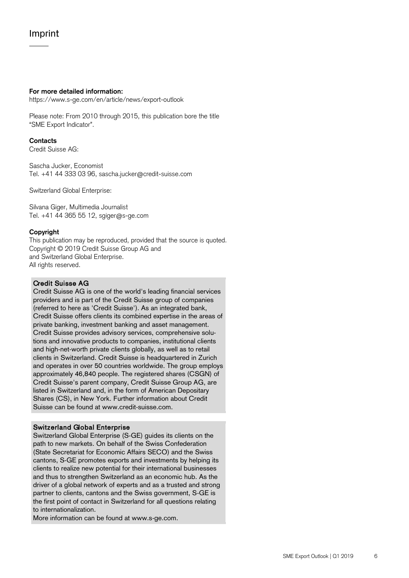## Imprint

#### **For more detailed information:**

https://www.s-ge.com/en/article/news/export-outlook

Please note: From 2010 through 2015, this publication bore the title "SME Export Indicator".

#### **Contacts**

Credit Suisse AG:

Sascha Jucker, Economist Tel. +41 44 333 03 96, sascha.jucker@credit-suisse.com

Switzerland Global Enterprise:

Silvana Giger, Multimedia Journalist Tel. +41 44 365 55 12, [sgiger@s-ge.com](mailto:sgiger@s-ge.com)

#### **Copyright**

This publication may be reproduced, provided that the source is quoted. Copyright © 2019 Credit Suisse Group AG and and Switzerland Global Enterprise. All rights reserved.

#### Credit Suisse AG

Credit Suisse AG is one of the world's leading financial services providers and is part of the Credit Suisse group of companies (referred to here as 'Credit Suisse'). As an integrated bank, Credit Suisse offers clients its combined expertise in the areas of private banking, investment banking and asset management. Credit Suisse provides advisory services, comprehensive solutions and innovative products to companies, institutional clients and high-net-worth private clients globally, as well as to retail clients in Switzerland. Credit Suisse is headquartered in Zurich and operates in over 50 countries worldwide. The group employs approximately 46,840 people. The registered shares (CSGN) of Credit Suisse's parent company, Credit Suisse Group AG, are listed in Switzerland and, in the form of American Depositary Shares (CS), in New York. Further information about Credit Suisse can be found at www.credit-suisse.com.

#### Switzerland Global Enterprise

Switzerland Global Enterprise (S-GE) guides its clients on the path to new markets. On behalf of the Swiss Confederation (State Secretariat for Economic Affairs SECO) and the Swiss cantons, S-GE promotes exports and investments by helping its clients to realize new potential for their international businesses and thus to strengthen Switzerland as an economic hub. As the driver of a global network of experts and as a trusted and strong partner to clients, cantons and the Swiss government, S-GE is the first point of contact in Switzerland for all questions relating to internationalization.

More information can be found at www.s-ge.com.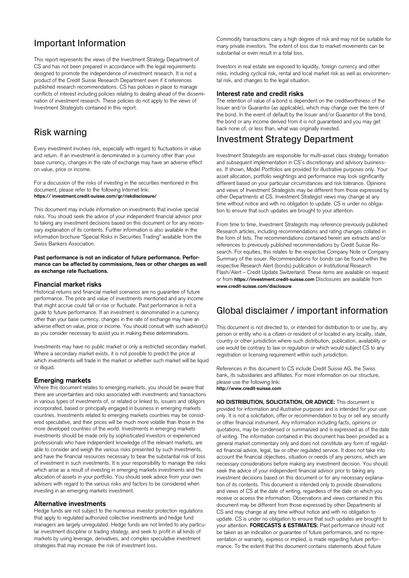## Important Information

This report represents the views of the Investment Strategy Department of CS and has not been prepared in accordance with the legal requirements designed to promote the independence of investment research. It is not a product of the Credit Suisse Research Department even if it references published research recommendations. CS has policies in place to manage conflicts of interest including policies relating to dealing ahead of the dissemination of investment research. These policies do not apply to the views of Investment Strategists contained in this report.

## Risk warning

Every investment involves risk, especially with regard to fluctuations in value and return. If an investment is denominated in a currency other than your base currency, changes in the rate of exchange may have an adverse effect on value, price or income.

For a discussion of the risks of investing in the securities mentioned in this document, please refer to the following Internet link: **https:// investment.credit-suisse.com/gr/riskdisclosure/**

This document may include information on investments that involve special risks. You should seek the advice of your independent financial advisor prior to taking any investment decisions based on this document or for any necessary explanation of its contents. Further information is also available in the information brochure "Special Risks in Securities Trading" available from the Swiss Bankers Association.

**Past performance is not an indicator of future performance. Performance can be affected by commissions, fees or other charges as well as exchange rate fluctuations.**

#### **Financial market risks**

Historical returns and financial market scenarios are no guarantee of future performance. The price and value of investments mentioned and any income that might accrue could fall or rise or fluctuate. Past performance is not a guide to future performance. If an investment is denominated in a currency other than your base currency, changes in the rate of exchange may have an adverse effect on value, price or income. You should consult with such advisor(s) as you consider necessary to assist you in making these determinations.

Investments may have no public market or only a restricted secondary market. Where a secondary market exists, it is not possible to predict the price at which investments will trade in the market or whether such market will be liquid or illiquid.

#### **Emerging markets**

Where this document relates to emerging markets, you should be aware that there are uncertainties and risks associated with investments and transactions in various types of investments of, or related or linked to, issuers and obligors incorporated, based or principally engaged in business in emerging markets countries. Investments related to emerging markets countries may be considered speculative, and their prices will be much more volatile than those in the more developed countries of the world. Investments in emerging markets investments should be made only by sophisticated investors or experienced professionals who have independent knowledge of the relevant markets, are able to consider and weigh the various risks presented by such investments, and have the financial resources necessary to bear the substantial risk of loss of investment in such investments. It is your responsibility to manage the risks which arise as a result of investing in emerging markets investments and the allocation of assets in your portfolio. You should seek advice from your own advisers with regard to the various risks and factors to be considered when investing in an emerging markets investment.

#### **Alternative investments**

Hedge funds are not subject to the numerous investor protection regulations that apply to regulated authorized collective investments and hedge fund managers are largely unregulated. Hedge funds are not limited to any particular investment discipline or trading strategy, and seek to profit in all kinds of markets by using leverage, derivatives, and complex speculative investment strategies that may increase the risk of investment loss.

Commodity transactions carry a high degree of risk and may not be suitable for many private investors. The extent of loss due to market movements can be substantial or even result in a total loss.

Investors in real estate are exposed to liquidity, foreign currency and other risks, including cyclical risk, rental and local market risk as well as environmental risk, and changes to the legal situation.

#### **Interest rate and credit risks**

The retention of value of a bond is dependent on the creditworthiness of the Issuer and/or Guarantor (as applicable), which may change over the term of the bond. In the event of default by the Issuer and/or Guarantor of the bond, the bond or any income derived from it is not guaranteed and you may get back none of, or less than, what was originally invested.

## Investment Strategy Department

Investment Strategists are responsible for multi-asset class strategy formation and subsequent implementation in CS's discretionary and advisory businesses. If shown, Model Portfolios are provided for illustrative purposes only. Your asset allocation, portfolio weightings and performance may look significantly different based on your particular circumstances and risk tolerance. Opinions and views of Investment Strategists may be different from those expressed by other Departments at CS. Investment Strategist views may change at any time without notice and with no obligation to update. CS is under no obligation to ensure that such updates are brought to your attention.

From time to time, Investment Strategists may reference previously published Research articles, including recommendations and rating changes collated in the form of lists. The recommendations contained herein are extracts and/or references to previously published recommendations by Credit Suisse Research. For equities, this relates to the respective Company Note or Company Summary of the issuer. Recommendations for bonds can be found within the respective Research Alert (bonds) publication or Institutional Research Flash/Alert – Credit Update Switzerland. These items are available on request or from **https://investment.credit-suisse.com** Disclosures are available from **www.credit-suisse.com/disclosure**

## Global disclaimer / important information

This document is not directed to, or intended for distribution to or use by, any person or entity who is a citizen or resident of or located in any locality, state, country or other jurisdiction where such distribution, publication, availability or use would be contrary to law or regulation or which would subject CS to any registration or licensing requirement within such jurisdiction.

References in this document to CS include Credit Suisse AG, the Swiss bank, its subsidiaries and affiliates. For more information on our structure, please use the following link: **http://www.credit-suisse.com**

**NO DISTRIBUTION, SOLICITATION, OR ADVICE:** This document is provided for information and illustrative purposes and is intended for your use only. It is not a solicitation, offer or recommendation to buy or sell any security or other financial instrument. Any information including facts, opinions or quotations, may be condensed or summarized and is expressed as of the date of writing. The information contained in this document has been provided as a general market commentary only and does not constitute any form of regulated financial advice, legal, tax or other regulated service. It does not take into account the financial objectives, situation or needs of any persons, which are necessary considerations before making any investment decision. You should seek the advice of your independent financial advisor prior to taking any investment decisions based on this document or for any necessary explanation of its contents. This document is intended only to provide observations and views of CS at the date of writing, regardless of the date on which you receive or access the information. Observations and views contained in this document may be different from those expressed by other Departments at CS and may change at any time without notice and with no obligation to update. CS is under no obligation to ensure that such updates are brought to your attention. **FORECASTS & ESTIMATES:** Past performance should not be taken as an indication or guarantee of future performance, and no representation or warranty, express or implied, is made regarding future performance. To the extent that this document contains statements about future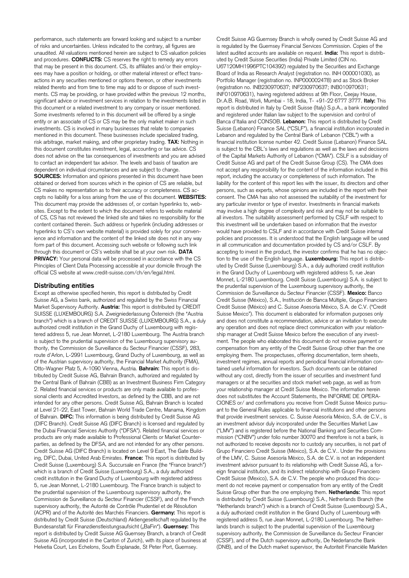performance, such statements are forward looking and subject to a number of risks and uncertainties. Unless indicated to the contrary, all figures are unaudited. All valuations mentioned herein are subject to CS valuation policies and procedures. **CONFLICTS:** CS reserves the right to remedy any errors that may be present in this document. CS, its affiliates and/or their employees may have a position or holding, or other material interest or effect transactions in any securities mentioned or options thereon, or other investments related thereto and from time to time may add to or dispose of such investments. CS may be providing, or have provided within the previous 12 months, significant advice or investment services in relation to the investments listed in this document or a related investment to any company or issuer mentioned. Some investments referred to in this document will be offered by a single entity or an associate of CS or CS may be the only market maker in such investments. CS is involved in many businesses that relate to companies mentioned in this document. These businesses include specialized trading, risk arbitrage, market making, and other proprietary trading. **TAX:** Nothing in this document constitutes investment, legal, accounting or tax advice. CS does not advise on the tax consequences of investments and you are advised to contact an independent tax advisor. The levels and basis of taxation are dependent on individual circumstances and are subject to change. **SOURCES:** Information and opinions presented in this document have been obtained or derived from sources which in the opinion of CS are reliable, but CS makes no representation as to their accuracy or completeness. CS accepts no liability for a loss arising from the use of this document. **WEBSITES:**  This document may provide the addresses of, or contain hyperlinks to, websites. Except to the extent to which the document refers to website material of CS, CS has not reviewed the linked site and takes no responsibility for the content contained therein. Such address or hyperlink (including addresses or hyperlinks to CS's own website material) is provided solely for your convenience and information and the content of the linked site does not in any way form part of this document. Accessing such website or following such link through this document or CS's website shall be at your own risk. **DATA**  PRIVACY: Your personal data will be processed in accordance with the CS Principles of Client Data Processing accessible at your domicile through the official CS website at [www.credit-suisse.com/ch/en/legal.html.](http://www.credit-suisse.com/ch/en/legal.html)

#### **Distributing entities**

Except as otherwise specified herein, this report is distributed by Credit Suisse AG, a Swiss bank, authorized and regulated by the Swiss Financial Market Supervisory Authority. **Austria:** This report is distributed by CREDIT SUISSE (LUXEMBOURG) S.A. Zweigniederlassung Österreich (the "Austria branch") which is a branch of CREDIT SUISSE (LUXEMBOURG) S.A., a duly authorized credit institution in the Grand Duchy of Luxembourg with registered address 5, rue Jean Monnet, L-2180 Luxembourg. The Austria branch is subject to the prudential supervision of the Luxembourg supervisory authority, the Commission de Surveillance du Secteur Financier (CSSF), 283, route d'Arlon, L-2991 Luxembourg, Grand Duchy of Luxembourg, as well as of the Austrian supervisory authority, the Financial Market Authority (FMA), Otto-Wagner Platz 5, A-1090 Vienna, Austria. **Bahrain:** This report is distributed by Credit Suisse AG, Bahrain Branch, authorized and regulated by the Central Bank of Bahrain (CBB) as an Investment Business Firm Category 2. Related financial services or products are only made available to professional clients and Accredited Investors, as defined by the CBB, and are not intended for any other persons. Credit Suisse AG, Bahrain Branch is located at Level 21-22, East Tower, Bahrain World Trade Centre, Manama, Kingdom of Bahrain. **DIFC:** This information is being distributed by Credit Suisse AG (DIFC Branch). Credit Suisse AG (DIFC Branch) is licensed and regulated by the Dubai Financial Services Authority ("DFSA"). Related financial services or products are only made available to Professional Clients or Market Counterparties, as defined by the DFSA, and are not intended for any other persons. Credit Suisse AG (DIFC Branch) is located on Level 9 East, The Gate Building, DIFC, Dubai, United Arab Emirates. **France:** This report is distributed by Credit Suisse (Luxembourg) S.A. Succursale en France (the "France branch") which is a branch of Credit Suisse (Luxembourg) S.A., a duly authorized credit institution in the Grand Duchy of Luxembourg with registered address 5, rue Jean Monnet, L-2180 Luxembourg. The France branch is subject to the prudential supervision of the Luxembourg supervisory authority, the Commission de Surveillance du Secteur Financier (CSSF), and of the French supervisory authority, the Autorité de Contrôle Prudentiel et de Résolution (ACPR) and of the Autorité des Marchés Financiers. **Germany:** This report is distributed by Credit Suisse (Deutschland) Aktiengesellschaft regulated by the Bundesanstalt für Finanzdienstleistungsaufsicht ("BaFin"). Guernsey: This report is distributed by Credit Suisse AG Guernsey Branch, a branch of Credit Suisse AG (incorporated in the Canton of Zurich), with its place of business at Helvetia Court, Les Echelons, South Esplanade, St Peter Port, Guernsey.

Credit Suisse AG Guernsey Branch is wholly owned by Credit Suisse AG and is regulated by the Guernsey Financial Services Commission. Copies of the latest audited accounts are available on request. **India:** This report is distributed by Credit Suisse Securities (India) Private Limited (CIN no. U67120MH1996PTC104392) regulated by the Securities and Exchange Board of India as Research Analyst (registration no. INH 000001030), as Portfolio Manager (registration no. INP000002478) and as Stock Broker (registration no. INB230970637; INF230970637; INB010970631; INF010970631), having registered address at 9th Floor, Ceejay House, Dr.A.B. Road, Worli, Mumbai - 18, India, T- +91-22 6777 3777. **Italy:** This report is distributed in Italy by Credit Suisse (Italy) S.p.A., a bank incorporated and registered under Italian law subject to the supervision and control of Banca d'Italia and CONSOB. **Lebanon:** This report is distributed by Credit Suisse (Lebanon) Finance SAL ("CSLF"), a financial institution incorporated in Lebanon and regulated by the Central Bank of Lebanon ("CBL") with a financial institution license number 42. Credit Suisse (Lebanon) Finance SAL is subject to the CBL's laws and regulations as well as the laws and decisions of the Capital Markets Authority of Lebanon ("CMA"). CSLF is a subsidiary of Credit Suisse AG and part of the Credit Suisse Group (CS). The CMA does not accept any responsibility for the content of the information included in this report, including the accuracy or completeness of such information. The liability for the content of this report lies with the issuer, its directors and other persons, such as experts, whose opinions are included in the report with their consent. The CMA has also not assessed the suitability of the investment for any particular investor or type of investor. Investments in financial markets may involve a high degree of complexity and risk and may not be suitable to all investors. The suitability assessment performed by CSLF with respect to this investment will be undertaken based on information that the investor would have provided to CSLF and in accordance with Credit Suisse internal policies and processes. It is understood that the English language will be used in all communication and documentation provided by CS and/or CSLF. By accepting to invest in the product, the investor confirms that he has no objection to the use of the English language. **Luxembourg:** This report is distributed by Credit Suisse (Luxembourg) S.A., a duly authorized credit institution in the Grand Duchy of Luxembourg with registered address 5, rue Jean Monnet, L-2180 Luxembourg. Credit Suisse (Luxembourg) S.A. is subject to the prudential supervision of the Luxembourg supervisory authority, the Commission de Surveillance du Secteur Financier (CSSF). **Mexico:** Banco Credit Suisse (México), S.A., Institución de Banca Múltiple, Grupo Financiero Credit Suisse (México) and C. Suisse Asesoría México, S.A. de C.V. ("Credit Suisse Mexico"). This document is elaborated for information purposes only and does not constitute a recommendation, advice or an invitation to execute any operation and does not replace direct communication with your relationship manager at Credit Suisse Mexico before the execution of any investment. The people who elaborated this document do not receive payment or compensation from any entity of the Credit Suisse Group other than the one employing them. The prospectuses, offering documentation, term sheets, investment regimes, annual reports and periodical financial information contained useful information for investors. Such documents can be obtained without any cost, directly from the issuer of securities and investment fund managers or at the securities and stock market web page, as well as from your relationship manager at Credit Suisse Mexico. The information herein does not substitutes the Account Statements, the INFORME DE OPERA-CIONES or/ and confirmations you receive from Credit Suisse Mexico pursuant to the General Rules applicable to financial institutions and other persons that provide investment services. C. Suisse Asesoría México, S.A. de C.V., is an investment advisor duly incorporated under the Securities Market Law ("LMV") and is registered before the National Banking and Securities Commission ("CNBV") under folio number 30070 and therefore is not a bank, is not authorized to receive deposits nor to custody any securities, is not part of Grupo Financiero Credit Suisse (México), S.A. de C.V.. Under the provisions of the LMV, C. Suisse Asesoría México, S.A. de C.V. is not an independent investment advisor pursuant to its relationship with Credit Suisse AG, a foreign financial institution, and its indirect relationship with Grupo Financiero Credit Suisse (Mexico), S.A. de C.V. The people who produced this document do not receive payment or compensation from any entity of the Credit Suisse Group other than the one employing them. **Netherlands:** This report is distributed by Credit Suisse (Luxembourg) S.A., Netherlands Branch (the "Netherlands branch") which is a branch of Credit Suisse (Luxembourg) S.A., a duly authorized credit institution in the Grand Duchy of Luxembourg with registered address 5, rue Jean Monnet, L-2180 Luxembourg. The Netherlands branch is subject to the prudential supervision of the Luxembourg supervisory authority, the Commission de Surveillance du Secteur Financier (CSSF), and of the Dutch supervisory authority, De Nederlansche Bank (DNB), and of the Dutch market supervisor, the Autoriteit Financiële Markten